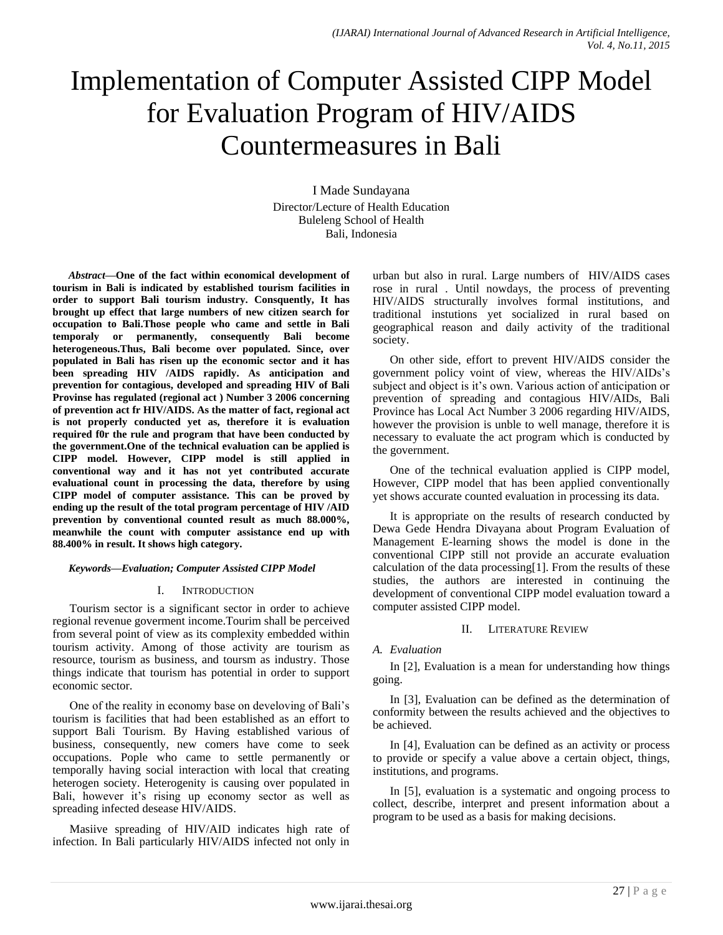# Implementation of Computer Assisted CIPP Model for Evaluation Program of HIV/AIDS Countermeasures in Bali

I Made Sundayana Director/Lecture of Health Education Buleleng School of Health Bali, Indonesia

*Abstract***—One of the fact within economical development of tourism in Bali is indicated by established tourism facilities in order to support Bali tourism industry. Consquently, It has brought up effect that large numbers of new citizen search for occupation to Bali.Those people who came and settle in Bali temporaly or permanently, consequently Bali become heterogeneous.Thus, Bali become over populated. Since, over populated in Bali has risen up the economic sector and it has been spreading HIV /AIDS rapidly. As anticipation and prevention for contagious, developed and spreading HIV of Bali Provinse has regulated (regional act ) Number 3 2006 concerning of prevention act fr HIV/AIDS. As the matter of fact, regional act is not properly conducted yet as, therefore it is evaluation required f0r the rule and program that have been conducted by the government.One of the technical evaluation can be applied is CIPP model. However, CIPP model is still applied in conventional way and it has not yet contributed accurate evaluational count in processing the data, therefore by using CIPP model of computer assistance. This can be proved by ending up the result of the total program percentage of HIV /AID prevention by conventional counted result as much 88.000%, meanwhile the count with computer assistance end up with 88.400% in result. It shows high category.**

## *Keywords—Evaluation; Computer Assisted CIPP Model*

## I. INTRODUCTION

Tourism sector is a significant sector in order to achieve regional revenue goverment income.Tourim shall be perceived from several point of view as its complexity embedded within tourism activity. Among of those activity are tourism as resource, tourism as business, and toursm as industry. Those things indicate that tourism has potential in order to support economic sector.

One of the reality in economy base on develoving of Bali's tourism is facilities that had been established as an effort to support Bali Tourism. By Having established various of business, consequently, new comers have come to seek occupations. Pople who came to settle permanently or temporally having social interaction with local that creating heterogen society. Heterogenity is causing over populated in Bali, however it's rising up economy sector as well as spreading infected desease HIV/AIDS.

Masiive spreading of HIV/AID indicates high rate of infection. In Bali particularly HIV/AIDS infected not only in urban but also in rural. Large numbers of HIV/AIDS cases rose in rural . Until nowdays, the process of preventing HIV/AIDS structurally involves formal institutions, and traditional instutions yet socialized in rural based on geographical reason and daily activity of the traditional society.

On other side, effort to prevent HIV/AIDS consider the government policy voint of view, whereas the HIV/AIDs's subject and object is it's own. Various action of anticipation or prevention of spreading and contagious HIV/AIDs, Bali Province has Local Act Number 3 2006 regarding HIV/AIDS, however the provision is unble to well manage, therefore it is necessary to evaluate the act program which is conducted by the government.

One of the technical evaluation applied is CIPP model, However, CIPP model that has been applied conventionally yet shows accurate counted evaluation in processing its data.

It is appropriate on the results of research conducted by Dewa Gede Hendra Divayana about Program Evaluation of Management E-learning shows the model is done in the conventional CIPP still not provide an accurate evaluation calculation of the data processing[1]. From the results of these studies, the authors are interested in continuing the development of conventional CIPP model evaluation toward a computer assisted CIPP model.

## II. LITERATURE REVIEW

## *A. Evaluation*

In [2], Evaluation is a mean for understanding how things going.

In [3], Evaluation can be defined as the determination of conformity between the results achieved and the objectives to be achieved.

In [4], Evaluation can be defined as an activity or process to provide or specify a value above a certain object, things, institutions, and programs.

In [5], evaluation is a systematic and ongoing process to collect, describe, interpret and present information about a program to be used as a basis for making decisions.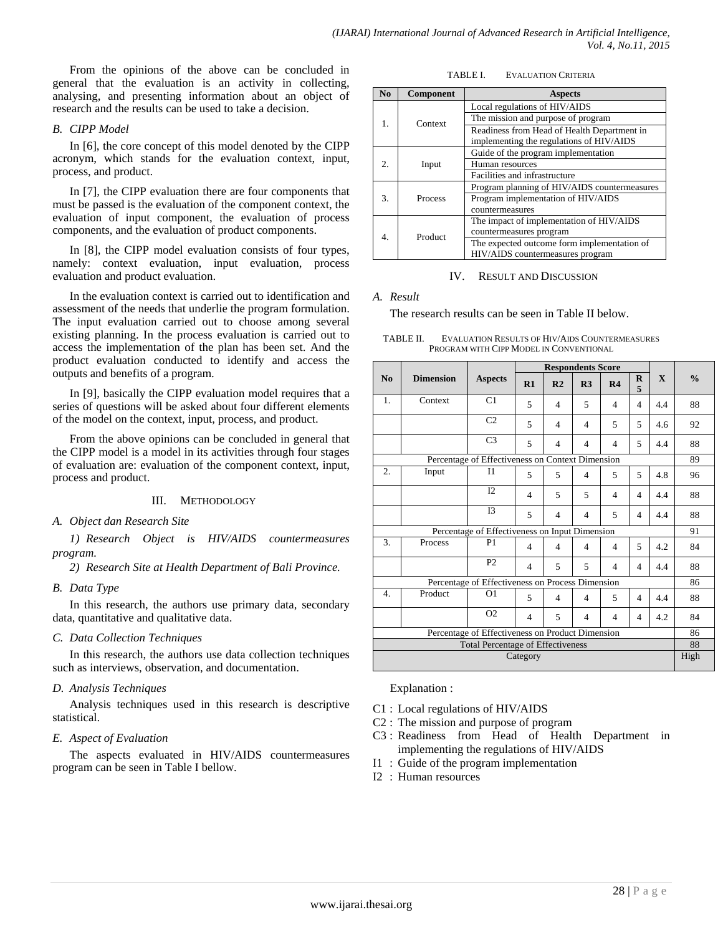From the opinions of the above can be concluded in general that the evaluation is an activity in collecting, analysing, and presenting information about an object of research and the results can be used to take a decision.

## *B. CIPP Model*

In [6], the core concept of this model denoted by the CIPP acronym, which stands for the evaluation context, input, process, and product.

In [7], the CIPP evaluation there are four components that must be passed is the evaluation of the component context, the evaluation of input component, the evaluation of process components, and the evaluation of product components.

In [8], the CIPP model evaluation consists of four types, namely: context evaluation, input evaluation, process evaluation and product evaluation.

In the evaluation context is carried out to identification and assessment of the needs that underlie the program formulation. The input evaluation carried out to choose among several existing planning. In the process evaluation is carried out to access the implementation of the plan has been set. And the product evaluation conducted to identify and access the outputs and benefits of a program.

In [9], basically the CIPP evaluation model requires that a series of questions will be asked about four different elements of the model on the context, input, process, and product.

From the above opinions can be concluded in general that the CIPP model is a model in its activities through four stages of evaluation are: evaluation of the component context, input, process and product.

## III. METHODOLOGY

## *A. Object dan Research Site*

*1) Research Object is HIV/AIDS countermeasures program.*

*2) Research Site at Health Department of Bali Province.*

## *B. Data Type*

In this research, the authors use primary data, secondary data, quantitative and qualitative data.

## *C. Data Collection Techniques*

In this research, the authors use data collection techniques such as interviews, observation, and documentation.

## *D. Analysis Techniques*

Analysis techniques used in this research is descriptive statistical.

## *E. Aspect of Evaluation*

The aspects evaluated in HIV/AIDS countermeasures program can be seen in Table I bellow.

TABLE I. EVALUATION CRITERIA

| N <sub>0</sub> | Component      | <b>Aspects</b>                               |  |  |  |  |  |
|----------------|----------------|----------------------------------------------|--|--|--|--|--|
| 1.             |                | Local regulations of HIV/AIDS                |  |  |  |  |  |
|                | Context        | The mission and purpose of program           |  |  |  |  |  |
|                |                | Readiness from Head of Health Department in  |  |  |  |  |  |
|                |                | implementing the regulations of HIV/AIDS     |  |  |  |  |  |
| 2.             |                | Guide of the program implementation          |  |  |  |  |  |
|                | Input          | Human resources                              |  |  |  |  |  |
|                |                | Facilities and infrastructure                |  |  |  |  |  |
| 3.             |                | Program planning of HIV/AIDS countermeasures |  |  |  |  |  |
|                | <b>Process</b> | Program implementation of HIV/AIDS           |  |  |  |  |  |
|                |                | countermeasures                              |  |  |  |  |  |
| 4.             |                | The impact of implementation of HIV/AIDS     |  |  |  |  |  |
|                | Product        | countermeasures program                      |  |  |  |  |  |
|                |                | The expected outcome form implementation of  |  |  |  |  |  |
|                |                | HIV/AIDS countermeasures program             |  |  |  |  |  |

## IV. RESULT AND DISCUSSION

*A. Result*

The research results can be seen in Table II below.

| TABLE II. | <b>EVALUATION RESULTS OF HIV/AIDS COUNTERMEASURES</b> |
|-----------|-------------------------------------------------------|
|           | PROGRAM WITH CIPP MODEL IN CONVENTIONAL               |

|                                   |                  |                                                  |                |                          | <b>Respondents Score</b> |                |                |              |               |
|-----------------------------------|------------------|--------------------------------------------------|----------------|--------------------------|--------------------------|----------------|----------------|--------------|---------------|
| No                                | <b>Dimension</b> | <b>Aspects</b>                                   | R1             | R <sub>2</sub>           | R <sub>3</sub>           | R <sub>4</sub> | $\bf{R}$<br>5  | $\mathbf{X}$ | $\frac{0}{0}$ |
| 1.                                | Context          | C <sub>1</sub>                                   | 5              | $\overline{4}$           | 5                        | $\overline{4}$ | $\overline{4}$ | 4.4          | 88            |
|                                   |                  | C <sub>2</sub>                                   | 5              | $\overline{\mathcal{L}}$ | $\overline{\mathcal{L}}$ | 5              | 5              | 4.6          | 92            |
|                                   |                  | C <sub>3</sub>                                   | 5              | $\overline{4}$           | $\overline{4}$           | $\overline{4}$ | 5              | 4.4          | 88            |
|                                   |                  | Percentage of Effectiveness on Context Dimension |                |                          |                          |                |                |              | 89            |
| $\overline{2}$ .                  | Input            | $_{\rm I1}$                                      | 5              | 5                        | 4                        | 5              | 5              | 4.8          | 96            |
|                                   |                  | I2                                               | $\overline{4}$ | 5                        | 5                        | $\overline{4}$ | $\overline{4}$ | 4.4          | 88            |
|                                   |                  | I3                                               | 5              | 4                        | $\overline{4}$           | 5              | $\overline{4}$ | 4.4          | 88            |
|                                   |                  | Percentage of Effectiveness on Input Dimension   |                |                          |                          |                |                |              | 91            |
| 3.                                | Process          | P <sub>1</sub>                                   | $\overline{4}$ | $\overline{\mathcal{L}}$ | $\overline{4}$           | $\overline{4}$ | 5              | 4.2          | 84            |
|                                   |                  | P <sub>2</sub>                                   | $\overline{4}$ | 5                        | 5                        | $\overline{4}$ | 4              | 4.4          | 88            |
|                                   |                  | Percentage of Effectiveness on Process Dimension |                |                          |                          |                |                |              | 86            |
| 4.                                | Product          | O1                                               | 5              | 4                        | 4                        | 5              | $\overline{4}$ | 4.4          | 88            |
|                                   |                  | O <sub>2</sub>                                   | $\overline{4}$ | 5                        | $\overline{4}$           | $\overline{4}$ | $\overline{4}$ | 4.2          | 84            |
|                                   |                  | Percentage of Effectiveness on Product Dimension |                |                          |                          |                |                |              | 86            |
| Total Percentage of Effectiveness |                  |                                                  |                |                          |                          |                |                |              |               |
|                                   |                  |                                                  | Category       |                          |                          |                |                |              | High          |

Explanation :

- C1 : Local regulations of HIV/AIDS
- C2 : The mission and purpose of program
- C3 : Readiness from Head of Health Department in implementing the regulations of HIV/AIDS
- I1 : Guide of the program implementation
- I2 : Human resources